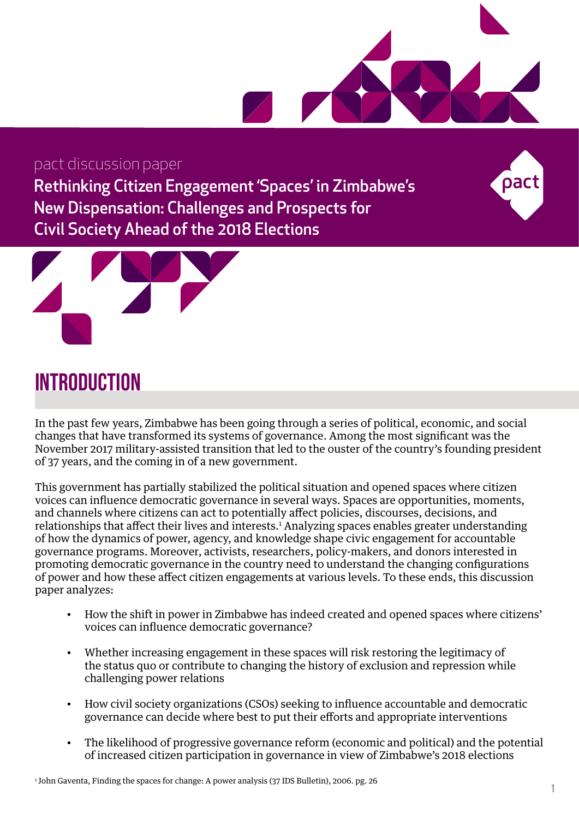

### pact discussion paper

Rethinking Citizen Engagement 'Spaces' in Zimbabwe's New Dispensation: Challenges and Prospects for Civil Society Ahead of the 2018 Elections



## **INTRODUCTION**

In the past few years, Zimbabwe has been going through a series of political, economic, and social changes that have transformed its systems of governance. Among the most significant was the November 2017 military-assisted transition that led to the ouster of the country's founding president of 37 years, and the coming in of a new government.

This government has partially stabilized the political situation and opened spaces where citizen voices can influence democratic governance in several ways. Spaces are opportunities, moments, and channels where citizens can act to potentially affect policies, discourses, decisions, and relationships that affect their lives and interests.<sup>1</sup> Analyzing spaces enables greater understanding of how the dynamics of power, agency, and knowledge shape civic engagement for accountable governance programs. Moreover, activists, researchers, policy-makers, and donors interested in promoting democratic governance in the country need to understand the changing configurations of power and how these affect citizen engagements at various levels. To these ends, this discussion paper analyzes:

- How the shift in power in Zimbabwe has indeed created and opened spaces where citizens' voices can influence democratic governance?
- Whether increasing engagement in these spaces will risk restoring the legitimacy of the status quo or contribute to changing the history of exclusion and repression while challenging power relations
- How civil society organizations (CSOs) seeking to influence accountable and democratic governance can decide where best to put their efforts and appropriate interventions
- The likelihood of progressive governance reform (economic and political) and the potential of increased citizen participation in governance in view of Zimbabwe's 2018 elections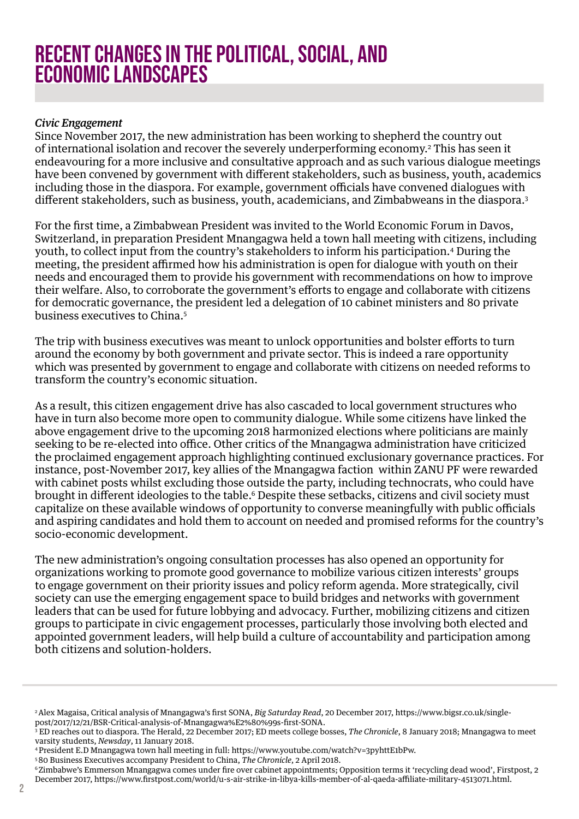## Recent Changes in the Political, Social, and Economic Landscapes

#### *Civic Engagement*

Since November 2017, the new administration has been working to shepherd the country out of international isolation and recover the severely underperforming economy.2 This has seen it endeavouring for a more inclusive and consultative approach and as such various dialogue meetings have been convened by government with different stakeholders, such as business, youth, academics including those in the diaspora. For example, government officials have convened dialogues with different stakeholders, such as business, youth, academicians, and Zimbabweans in the diaspora.<sup>3</sup>

For the first time, a Zimbabwean President was invited to the World Economic Forum in Davos, Switzerland, in preparation President Mnangagwa held a town hall meeting with citizens, including youth, to collect input from the country's stakeholders to inform his participation.4 During the meeting, the president affirmed how his administration is open for dialogue with youth on their needs and encouraged them to provide his government with recommendations on how to improve their welfare. Also, to corroborate the government's efforts to engage and collaborate with citizens for democratic governance, the president led a delegation of 10 cabinet ministers and 80 private business executives to China.<sup>5</sup>

The trip with business executives was meant to unlock opportunities and bolster efforts to turn around the economy by both government and private sector. This is indeed a rare opportunity which was presented by government to engage and collaborate with citizens on needed reforms to transform the country's economic situation.

As a result, this citizen engagement drive has also cascaded to local government structures who have in turn also become more open to community dialogue. While some citizens have linked the above engagement drive to the upcoming 2018 harmonized elections where politicians are mainly seeking to be re-elected into office. Other critics of the Mnangagwa administration have criticized the proclaimed engagement approach highlighting continued exclusionary governance practices. For instance, post-November 2017, key allies of the Mnangagwa faction within ZANU PF were rewarded with cabinet posts whilst excluding those outside the party, including technocrats, who could have brought in different ideologies to the table.<sup>6</sup> Despite these setbacks, citizens and civil society must capitalize on these available windows of opportunity to converse meaningfully with public officials and aspiring candidates and hold them to account on needed and promised reforms for the country's socio-economic development.

The new administration's ongoing consultation processes has also opened an opportunity for organizations working to promote good governance to mobilize various citizen interests' groups to engage government on their priority issues and policy reform agenda. More strategically, civil society can use the emerging engagement space to build bridges and networks with government leaders that can be used for future lobbying and advocacy. Further, mobilizing citizens and citizen groups to participate in civic engagement processes, particularly those involving both elected and appointed government leaders, will help build a culture of accountability and participation among both citizens and solution-holders.

<sup>2</sup> Alex Magaisa, Critical analysis of Mnangagwa's first SONA, *Big Saturday Read*, 20 December 2017, https://www.bigsr.co.uk/singlepost/2017/12/21/BSR-Critical-analysis-of-Mnangagwa%E2%80%99s-first-SONA.

<sup>3</sup> ED reaches out to diaspora. The Herald, 22 December 2017; ED meets college bosses, *The Chronicle*, 8 January 2018; Mnangagwa to meet varsity students, *Newsday*, 11 January 2018.

<sup>4</sup> President E.D Mnangagwa town hall meeting in full: https://www.youtube.com/watch?v=3pyhttE1bPw.

<sup>&</sup>lt;sup>5</sup> 80 Business Executives accompany President to China, *The Chronicle*, 2 April 2018.<br><sup>6</sup> Zimbabwe's Emmerson Mnangagwa comes under fire over cabinet appointments; Opposition terms it 'recycling dead wood', Firstpost, 2 December 2017, https://www.firstpost.com/world/u-s-air-strike-in-libya-kills-member-of-al-qaeda-affiliate-military-4513071.html.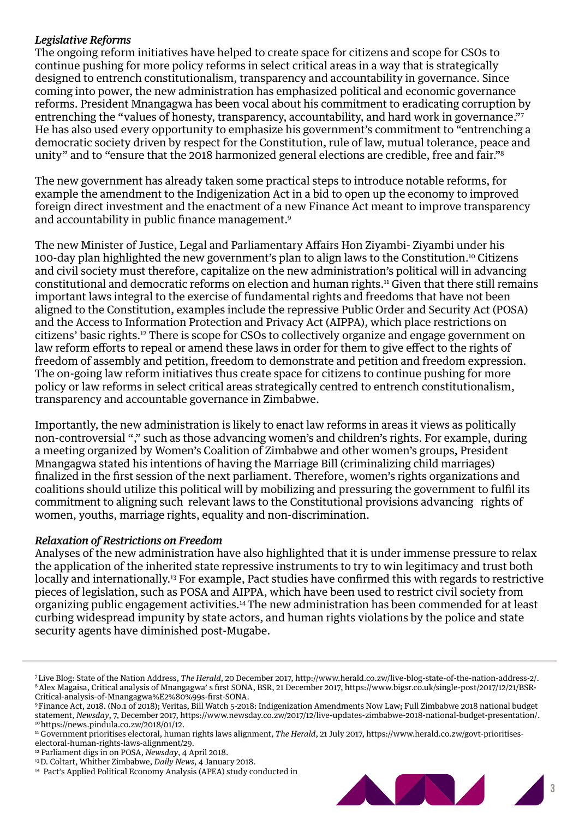#### *Legislative Reforms*

The ongoing reform initiatives have helped to create space for citizens and scope for CSOs to continue pushing for more policy reforms in select critical areas in a way that is strategically designed to entrench constitutionalism, transparency and accountability in governance. Since coming into power, the new administration has emphasized political and economic governance reforms. President Mnangagwa has been vocal about his commitment to eradicating corruption by entrenching the "values of honesty, transparency, accountability, and hard work in governance."7 He has also used every opportunity to emphasize his government's commitment to "entrenching a democratic society driven by respect for the Constitution, rule of law, mutual tolerance, peace and unity" and to "ensure that the 2018 harmonized general elections are credible, free and fair."8

The new government has already taken some practical steps to introduce notable reforms, for example the amendment to the Indigenization Act in a bid to open up the economy to improved foreign direct investment and the enactment of a new Finance Act meant to improve transparency and accountability in public finance management.9

The new Minister of Justice, Legal and Parliamentary Affairs Hon Ziyambi- Ziyambi under his 100-day plan highlighted the new government's plan to align laws to the Constitution.10 Citizens and civil society must therefore, capitalize on the new administration's political will in advancing constitutional and democratic reforms on election and human rights.11 Given that there still remains important laws integral to the exercise of fundamental rights and freedoms that have not been aligned to the Constitution, examples include the repressive Public Order and Security Act (POSA) and the Access to Information Protection and Privacy Act (AIPPA), which place restrictions on citizens' basic rights.12 There is scope for CSOs to collectively organize and engage government on law reform efforts to repeal or amend these laws in order for them to give effect to the rights of freedom of assembly and petition, freedom to demonstrate and petition and freedom expression. The on-going law reform initiatives thus create space for citizens to continue pushing for more policy or law reforms in select critical areas strategically centred to entrench constitutionalism, transparency and accountable governance in Zimbabwe.

Importantly, the new administration is likely to enact law reforms in areas it views as politically non-controversial "," such as those advancing women's and children's rights. For example, during a meeting organized by Women's Coalition of Zimbabwe and other women's groups, President Mnangagwa stated his intentions of having the Marriage Bill (criminalizing child marriages) finalized in the first session of the next parliament. Therefore, women's rights organizations and coalitions should utilize this political will by mobilizing and pressuring the government to fulfil its commitment to aligning such relevant laws to the Constitutional provisions advancing rights of women, youths, marriage rights, equality and non-discrimination.

#### *Relaxation of Restrictions on Freedom*

Analyses of the new administration have also highlighted that it is under immense pressure to relax the application of the inherited state repressive instruments to try to win legitimacy and trust both locally and internationally.<sup>13</sup> For example, Pact studies have confirmed this with regards to restrictive pieces of legislation, such as POSA and AIPPA, which have been used to restrict civil society from organizing public engagement activities.14 The new administration has been commended for at least curbing widespread impunity by state actors, and human rights violations by the police and state security agents have diminished post-Mugabe.

<sup>&</sup>lt;sup>14</sup> Pact's Applied Political Economy Analysis (APEA) study conducted in



<sup>&</sup>lt;sup>7</sup>Live Blog: State of the Nation Address, *The Herald*, 20 December 2017, http://www.herald.co.zw/live-blog-state-of-the-nation-address-2/.<br><sup>8</sup>Alex Magaisa, Critical analysis of Mnangagwa' s first SONA, BSR, 21 December 2 Critical-analysis-of-Mnangagwa%E2%80%99s-first-SONA.

<sup>9</sup> Finance Act, 2018. (No.1 of 2018); Veritas, Bill Watch 5-2018: Indigenization Amendments Now Law; Full Zimbabwe 2018 national budget statement, *Newsday*, 7, December 2017, https://www.newsday.co.zw/2017/12/live-updates-zimbabwe-2018-national-budget-presentation/. 10 https://news.pindula.co.zw/2018/01/12.

<sup>11</sup> Government prioritises electoral, human rights laws alignment, *The Herald*, 21 July 2017, https://www.herald.co.zw/govt-prioritiseselectoral-human-rights-laws-alignment/29.<br><sup>12</sup> Parliament digs in on POSA, *Newsday*, 4 April 2018.

<sup>&</sup>lt;sup>13</sup> D. Coltart, Whither Zimbabwe, *Daily News*, 4 January 2018.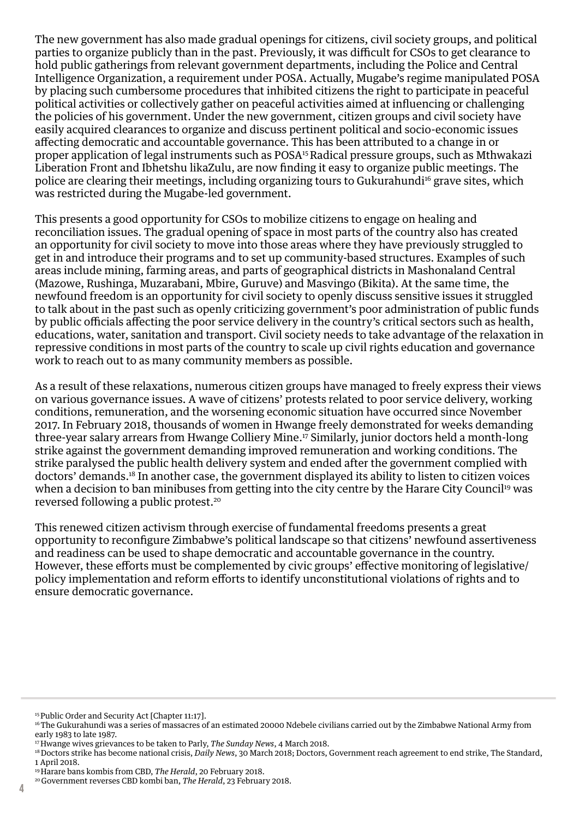The new government has also made gradual openings for citizens, civil society groups, and political parties to organize publicly than in the past. Previously, it was difficult for CSOs to get clearance to hold public gatherings from relevant government departments, including the Police and Central Intelligence Organization, a requirement under POSA. Actually, Mugabe's regime manipulated POSA by placing such cumbersome procedures that inhibited citizens the right to participate in peaceful political activities or collectively gather on peaceful activities aimed at influencing or challenging the policies of his government. Under the new government, citizen groups and civil society have easily acquired clearances to organize and discuss pertinent political and socio-economic issues affecting democratic and accountable governance. This has been attributed to a change in or proper application of legal instruments such as POSA15 Radical pressure groups, such as Mthwakazi Liberation Front and Ibhetshu likaZulu, are now finding it easy to organize public meetings. The police are clearing their meetings, including organizing tours to Gukurahundi<sup>16</sup> grave sites, which was restricted during the Mugabe-led government.

This presents a good opportunity for CSOs to mobilize citizens to engage on healing and reconciliation issues. The gradual opening of space in most parts of the country also has created an opportunity for civil society to move into those areas where they have previously struggled to get in and introduce their programs and to set up community-based structures. Examples of such areas include mining, farming areas, and parts of geographical districts in Mashonaland Central (Mazowe, Rushinga, Muzarabani, Mbire, Guruve) and Masvingo (Bikita). At the same time, the newfound freedom is an opportunity for civil society to openly discuss sensitive issues it struggled to talk about in the past such as openly criticizing government's poor administration of public funds by public officials affecting the poor service delivery in the country's critical sectors such as health, educations, water, sanitation and transport. Civil society needs to take advantage of the relaxation in repressive conditions in most parts of the country to scale up civil rights education and governance work to reach out to as many community members as possible.

As a result of these relaxations, numerous citizen groups have managed to freely express their views on various governance issues. A wave of citizens' protests related to poor service delivery, working conditions, remuneration, and the worsening economic situation have occurred since November 2017. In February 2018, thousands of women in Hwange freely demonstrated for weeks demanding three-year salary arrears from Hwange Colliery Mine.17 Similarly, junior doctors held a month-long strike against the government demanding improved remuneration and working conditions. The strike paralysed the public health delivery system and ended after the government complied with doctors' demands.18 In another case, the government displayed its ability to listen to citizen voices when a decision to ban minibuses from getting into the city centre by the Harare City Council<sup>19</sup> was reversed following a public protest.20

This renewed citizen activism through exercise of fundamental freedoms presents a great opportunity to reconfigure Zimbabwe's political landscape so that citizens' newfound assertiveness and readiness can be used to shape democratic and accountable governance in the country. However, these efforts must be complemented by civic groups' effective monitoring of legislative/ policy implementation and reform efforts to identify unconstitutional violations of rights and to ensure democratic governance.

<sup>15</sup> Public Order and Security Act [Chapter 11:17].

<sup>&</sup>lt;sup>16</sup> The Gukurahundi was a series of massacres of an estimated 20000 Ndebele civilians carried out by the Zimbabwe National Army from early 1983 to late 1987.

<sup>17</sup> Hwange wives grievances to be taken to Parly, *The Sunday News*, 4 March 2018.

<sup>18</sup> Doctors strike has become national crisis, *Daily News*, 30 March 2018; Doctors, Government reach agreement to end strike, The Standard, 1 April 2018.

<sup>19</sup> Harare bans kombis from CBD, *The Herald*, 20 February 2018.

<sup>20</sup> Government reverses CBD kombi ban, *The Herald*, 23 February 2018.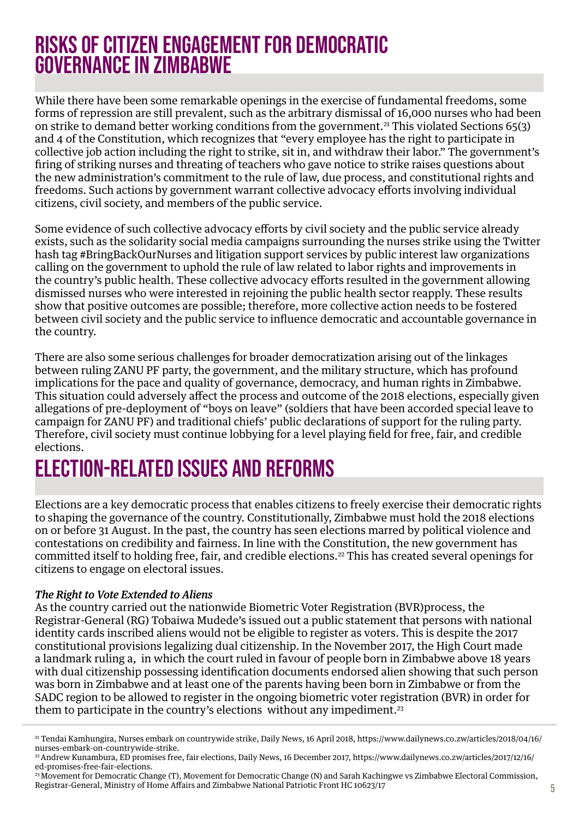## Risks of Citizen Engagement for Democratic Governance in Zimbabwe

While there have been some remarkable openings in the exercise of fundamental freedoms, some forms of repression are still prevalent, such as the arbitrary dismissal of 16,000 nurses who had been on strike to demand better working conditions from the government.21 This violated Sections 65(3) and 4 of the Constitution, which recognizes that "every employee has the right to participate in collective job action including the right to strike, sit in, and withdraw their labor." The government's firing of striking nurses and threating of teachers who gave notice to strike raises questions about the new administration's commitment to the rule of law, due process, and constitutional rights and freedoms. Such actions by government warrant collective advocacy efforts involving individual citizens, civil society, and members of the public service.

Some evidence of such collective advocacy efforts by civil society and the public service already exists, such as the solidarity social media campaigns surrounding the nurses strike using the Twitter hash tag #BringBackOurNurses and litigation support services by public interest law organizations calling on the government to uphold the rule of law related to labor rights and improvements in the country's public health. These collective advocacy efforts resulted in the government allowing dismissed nurses who were interested in rejoining the public health sector reapply. These results show that positive outcomes are possible; therefore, more collective action needs to be fostered between civil society and the public service to influence democratic and accountable governance in the country.

There are also some serious challenges for broader democratization arising out of the linkages between ruling ZANU PF party, the government, and the military structure, which has profound implications for the pace and quality of governance, democracy, and human rights in Zimbabwe. This situation could adversely affect the process and outcome of the 2018 elections, especially given allegations of pre-deployment of "boys on leave" (soldiers that have been accorded special leave to campaign for ZANU PF) and traditional chiefs' public declarations of support for the ruling party. Therefore, civil society must continue lobbying for a level playing field for free, fair, and credible elections.

# Election-Related Issues and Reforms

Elections are a key democratic process that enables citizens to freely exercise their democratic rights to shaping the governance of the country. Constitutionally, Zimbabwe must hold the 2018 elections on or before 31 August. In the past, the country has seen elections marred by political violence and contestations on credibility and fairness. In line with the Constitution, the new government has committed itself to holding free, fair, and credible elections.<sup>22</sup> This has created several openings for citizens to engage on electoral issues.

#### *The Right to Vote Extended to Aliens*

As the country carried out the nationwide Biometric Voter Registration (BVR)process, the Registrar-General (RG) Tobaiwa Mudede's issued out a public statement that persons with national identity cards inscribed aliens would not be eligible to register as voters. This is despite the 2017 constitutional provisions legalizing dual citizenship. In the November 2017, the High Court made a landmark ruling a, in which the court ruled in favour of people born in Zimbabwe above 18 years with dual citizenship possessing identification documents endorsed alien showing that such person was born in Zimbabwe and at least one of the parents having been born in Zimbabwe or from the SADC region to be allowed to register in the ongoing biometric voter registration (BVR) in order for them to participate in the country's elections without any impediment.<sup>23</sup>

<sup>21</sup> Tendai Kamhungira, Nurses embark on countrywide strike, Daily News, 16 April 2018, https://www.dailynews.co.zw/articles/2018/04/16/ nurses-embark-on-countrywide-strike.

<sup>22</sup> Andrew Kunambura, ED promises free, fair elections, Daily News, 16 December 2017, https://www.dailynews.co.zw/articles/2017/12/16/ ed-promises-free-fair-elections.

<sup>23</sup> Movement for Democratic Change (T), Movement for Democratic Change (N) and Sarah Kachingwe vs Zimbabwe Electoral Commission, Registrar-General, Ministry of Home Affairs and Zimbabwe National Patriotic Front HC 10623/17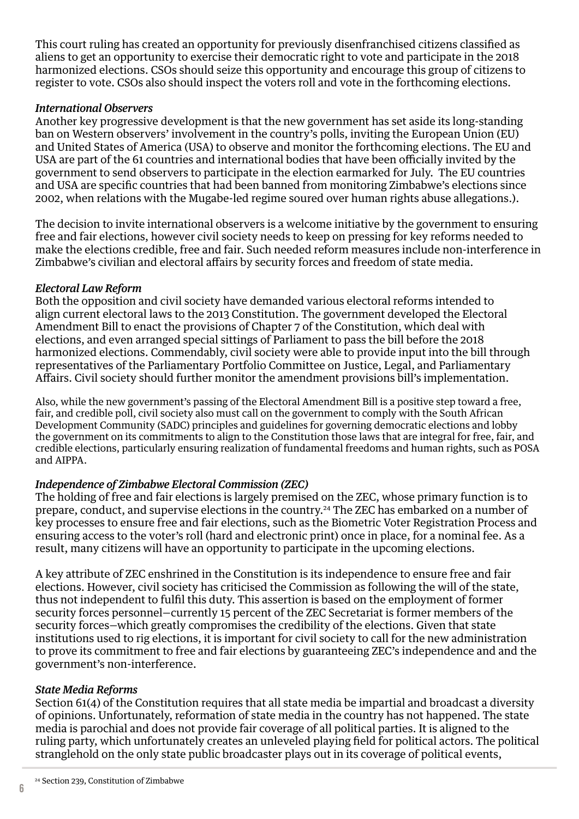This court ruling has created an opportunity for previously disenfranchised citizens classified as aliens to get an opportunity to exercise their democratic right to vote and participate in the 2018 harmonized elections. CSOs should seize this opportunity and encourage this group of citizens to register to vote. CSOs also should inspect the voters roll and vote in the forthcoming elections.

#### *International Observers*

Another key progressive development is that the new government has set aside its long-standing ban on Western observers' involvement in the country's polls, inviting the European Union (EU) and United States of America (USA) to observe and monitor the forthcoming elections. The EU and USA are part of the 61 countries and international bodies that have been officially invited by the government to send observers to participate in the election earmarked for July. The EU countries and USA are specific countries that had been banned from monitoring Zimbabwe's elections since 2002, when relations with the Mugabe-led regime soured over human rights abuse allegations.).

The decision to invite international observers is a welcome initiative by the government to ensuring free and fair elections, however civil society needs to keep on pressing for key reforms needed to make the elections credible, free and fair. Such needed reform measures include non-interference in Zimbabwe's civilian and electoral affairs by security forces and freedom of state media.

#### *Electoral Law Reform*

Both the opposition and civil society have demanded various electoral reforms intended to align current electoral laws to the 2013 Constitution. The government developed the Electoral Amendment Bill to enact the provisions of Chapter 7 of the Constitution, which deal with elections, and even arranged special sittings of Parliament to pass the bill before the 2018 harmonized elections. Commendably, civil society were able to provide input into the bill through representatives of the Parliamentary Portfolio Committee on Justice, Legal, and Parliamentary Affairs. Civil society should further monitor the amendment provisions bill's implementation.

Also, while the new government's passing of the Electoral Amendment Bill is a positive step toward a free, fair, and credible poll, civil society also must call on the government to comply with the South African Development Community (SADC) principles and guidelines for governing democratic elections and lobby the government on its commitments to align to the Constitution those laws that are integral for free, fair, and credible elections, particularly ensuring realization of fundamental freedoms and human rights, such as POSA and AIPPA.

#### *Independence of Zimbabwe Electoral Commission (ZEC)*

The holding of free and fair elections is largely premised on the ZEC, whose primary function is to prepare, conduct, and supervise elections in the country.24 The ZEC has embarked on a number of key processes to ensure free and fair elections, such as the Biometric Voter Registration Process and ensuring access to the voter's roll (hard and electronic print) once in place, for a nominal fee. As a result, many citizens will have an opportunity to participate in the upcoming elections.

A key attribute of ZEC enshrined in the Constitution is its independence to ensure free and fair elections. However, civil society has criticised the Commission as following the will of the state, thus not independent to fulfil this duty. This assertion is based on the employment of former security forces personnel—currently 15 percent of the ZEC Secretariat is former members of the security forces—which greatly compromises the credibility of the elections. Given that state institutions used to rig elections, it is important for civil society to call for the new administration to prove its commitment to free and fair elections by guaranteeing ZEC's independence and and the government's non-interference.

#### *State Media Reforms*

Section 61(4) of the Constitution requires that all state media be impartial and broadcast a diversity of opinions. Unfortunately, reformation of state media in the country has not happened. The state media is parochial and does not provide fair coverage of all political parties. It is aligned to the ruling party, which unfortunately creates an unleveled playing field for political actors. The political stranglehold on the only state public broadcaster plays out in its coverage of political events,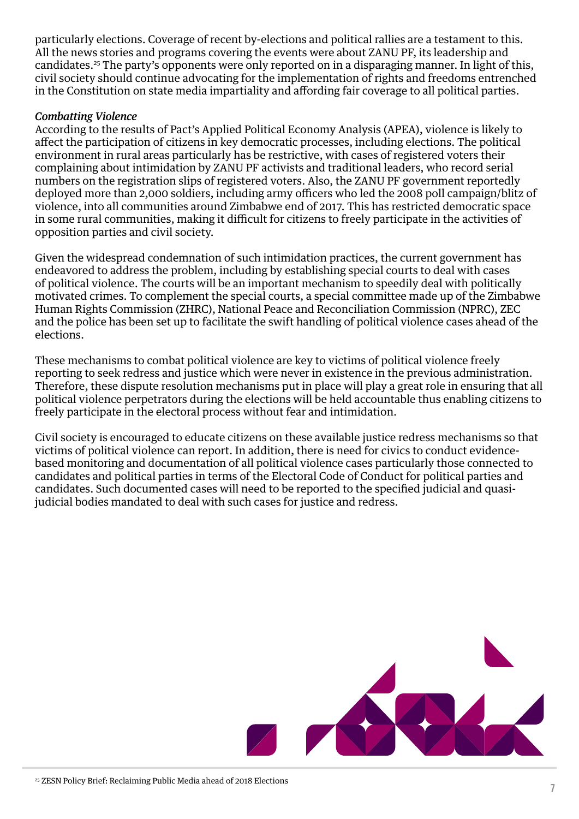particularly elections. Coverage of recent by-elections and political rallies are a testament to this. All the news stories and programs covering the events were about ZANU PF, its leadership and candidates.25 The party's opponents were only reported on in a disparaging manner. In light of this, civil society should continue advocating for the implementation of rights and freedoms entrenched in the Constitution on state media impartiality and affording fair coverage to all political parties.

#### *Combatting Violence*

According to the results of Pact's Applied Political Economy Analysis (APEA), violence is likely to affect the participation of citizens in key democratic processes, including elections. The political environment in rural areas particularly has be restrictive, with cases of registered voters their complaining about intimidation by ZANU PF activists and traditional leaders, who record serial numbers on the registration slips of registered voters. Also, the ZANU PF government reportedly deployed more than 2,000 soldiers, including army officers who led the 2008 poll campaign/blitz of violence, into all communities around Zimbabwe end of 2017. This has restricted democratic space in some rural communities, making it difficult for citizens to freely participate in the activities of opposition parties and civil society.

Given the widespread condemnation of such intimidation practices, the current government has endeavored to address the problem, including by establishing special courts to deal with cases of political violence. The courts will be an important mechanism to speedily deal with politically motivated crimes. To complement the special courts, a special committee made up of the Zimbabwe Human Rights Commission (ZHRC), National Peace and Reconciliation Commission (NPRC), ZEC and the police has been set up to facilitate the swift handling of political violence cases ahead of the elections.

These mechanisms to combat political violence are key to victims of political violence freely reporting to seek redress and justice which were never in existence in the previous administration. Therefore, these dispute resolution mechanisms put in place will play a great role in ensuring that all political violence perpetrators during the elections will be held accountable thus enabling citizens to freely participate in the electoral process without fear and intimidation.

Civil society is encouraged to educate citizens on these available justice redress mechanisms so that victims of political violence can report. In addition, there is need for civics to conduct evidencebased monitoring and documentation of all political violence cases particularly those connected to candidates and political parties in terms of the Electoral Code of Conduct for political parties and candidates. Such documented cases will need to be reported to the specified judicial and quasijudicial bodies mandated to deal with such cases for justice and redress.